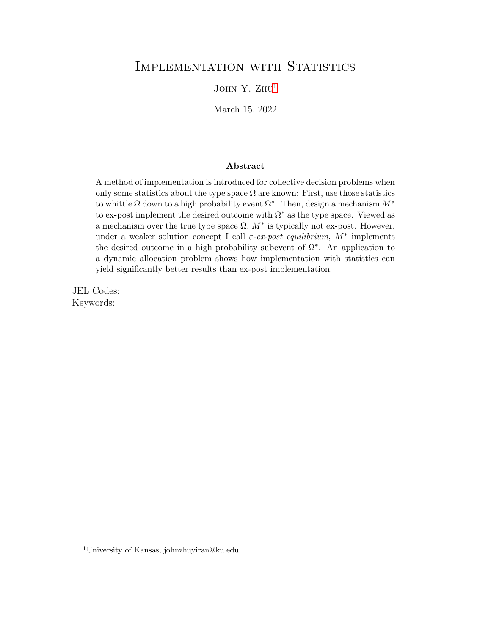# IMPLEMENTATION WITH STATISTICS

JOHN Y. ZHU<sup>1</sup>

March 15, 2022

#### Abstract

A method of implementation is introduced for collective decision problems when only some statistics about the type space  $\Omega$  are known: First, use those statistics to whittle  $\Omega$  down to a high probability event  $\Omega^*$ . Then, design a mechanism  $M^*$ to ex-post implement the desired outcome with  $\Omega^*$  as the type space. Viewed as a mechanism over the true type space  $\Omega$ ,  $M^*$  is typically not ex-post. However, under a weaker solution concept I call  $\varepsilon$ -ex-post equilibrium,  $M^*$  implements the desired outcome in a high probability subevent of  $\Omega^*$ . An application to a dynamic allocation problem shows how implementation with statistics can yield significantly better results than ex-post implementation.

JEL Codes: Keywords:

<sup>1</sup>University of Kansas, johnzhuyiran@ku.edu.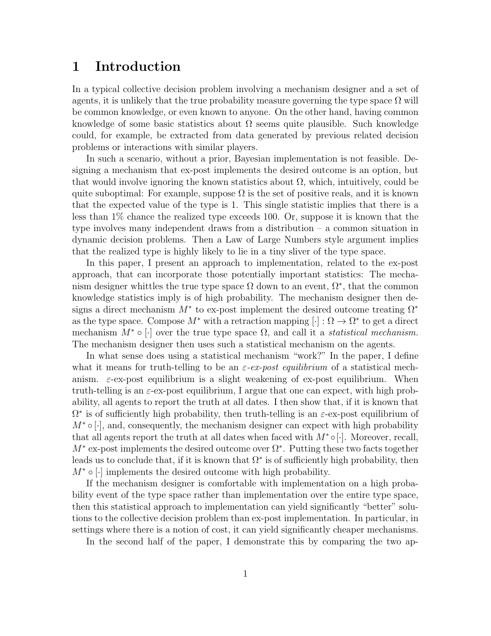## 1 Introduction

In a typical collective decision problem involving a mechanism designer and a set of agents, it is unlikely that the true probability measure governing the type space  $\Omega$  will be common knowledge, or even known to anyone. On the other hand, having common knowledge of some basic statistics about  $\Omega$  seems quite plausible. Such knowledge could, for example, be extracted from data generated by previous related decision problems or interactions with similar players.

In such a scenario, without a prior, Bayesian implementation is not feasible. Designing a mechanism that ex-post implements the desired outcome is an option, but that would involve ignoring the known statistics about  $\Omega$ , which, intuitively, could be quite suboptimal: For example, suppose  $\Omega$  is the set of positive reals, and it is known that the expected value of the type is 1. This single statistic implies that there is a less than 1% chance the realized type exceeds 100. Or, suppose it is known that the type involves many independent draws from a distribution – a common situation in dynamic decision problems. Then a Law of Large Numbers style argument implies that the realized type is highly likely to lie in a tiny sliver of the type space.

In this paper, I present an approach to implementation, related to the ex-post approach, that can incorporate those potentially important statistics: The mechanism designer whittles the true type space  $\Omega$  down to an event,  $\Omega^*$ , that the common knowledge statistics imply is of high probability. The mechanism designer then designs a direct mechanism  $M^*$  to ex-post implement the desired outcome treating  $\Omega^*$ as the type space. Compose  $M^*$  with a retraction mapping  $[\cdot] : \Omega \to \Omega^*$  to get a direct mechanism  $M^* \circ [\cdot]$  over the true type space  $\Omega$ , and call it a *statistical mechanism*. The mechanism designer then uses such a statistical mechanism on the agents.

In what sense does using a statistical mechanism "work?" In the paper, I define what it means for truth-telling to be an  $\varepsilon$ -ex-post equilibrium of a statistical mechanism.  $\varepsilon$ -ex-post equilibrium is a slight weakening of ex-post equilibrium. When truth-telling is an  $\varepsilon$ -ex-post equilibrium, I argue that one can expect, with high probability, all agents to report the truth at all dates. I then show that, if it is known that  $\Omega^*$  is of sufficiently high probability, then truth-telling is an  $\varepsilon$ -ex-post equilibrium of  $M^* \circ [\cdot]$ , and, consequently, the mechanism designer can expect with high probability that all agents report the truth at all dates when faced with  $M^* \circ [\cdot]$ . Moreover, recall,  $M^*$  ex-post implements the desired outcome over  $\Omega^*$ . Putting these two facts together leads us to conclude that, if it is known that  $\Omega^*$  is of sufficiently high probability, then  $M^* \circ [ \cdot ]$  implements the desired outcome with high probability.

If the mechanism designer is comfortable with implementation on a high probability event of the type space rather than implementation over the entire type space, then this statistical approach to implementation can yield significantly "better" solutions to the collective decision problem than ex-post implementation. In particular, in settings where there is a notion of cost, it can yield significantly cheaper mechanisms.

In the second half of the paper, I demonstrate this by comparing the two ap-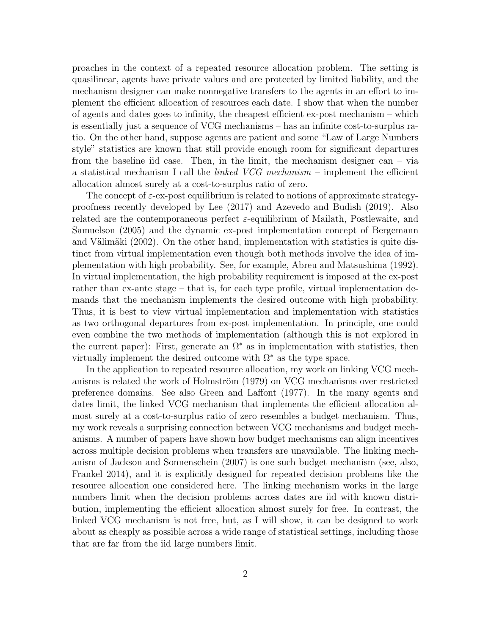proaches in the context of a repeated resource allocation problem. The setting is quasilinear, agents have private values and are protected by limited liability, and the mechanism designer can make nonnegative transfers to the agents in an effort to implement the efficient allocation of resources each date. I show that when the number of agents and dates goes to infinity, the cheapest efficient ex-post mechanism – which is essentially just a sequence of VCG mechanisms – has an infinite cost-to-surplus ratio. On the other hand, suppose agents are patient and some "Law of Large Numbers style" statistics are known that still provide enough room for significant departures from the baseline iid case. Then, in the limit, the mechanism designer can – via a statistical mechanism I call the *linked VCG mechanism* – implement the efficient allocation almost surely at a cost-to-surplus ratio of zero.

The concept of  $\varepsilon$ -ex-post equilibrium is related to notions of approximate strategyproofness recently developed by Lee (2017) and Azevedo and Budish (2019). Also related are the contemporaneous perfect  $\varepsilon$ -equilibrium of Mailath, Postlewaite, and Samuelson (2005) and the dynamic ex-post implementation concept of Bergemann and Välimäki  $(2002)$ . On the other hand, implementation with statistics is quite distinct from virtual implementation even though both methods involve the idea of implementation with high probability. See, for example, Abreu and Matsushima (1992). In virtual implementation, the high probability requirement is imposed at the ex-post rather than ex-ante stage – that is, for each type profile, virtual implementation demands that the mechanism implements the desired outcome with high probability. Thus, it is best to view virtual implementation and implementation with statistics as two orthogonal departures from ex-post implementation. In principle, one could even combine the two methods of implementation (although this is not explored in the current paper): First, generate an  $\Omega^*$  as in implementation with statistics, then virtually implement the desired outcome with  $\Omega^*$  as the type space.

In the application to repeated resource allocation, my work on linking VCG mechanisms is related the work of Holmström (1979) on VCG mechanisms over restricted preference domains. See also Green and Laffont (1977). In the many agents and dates limit, the linked VCG mechanism that implements the efficient allocation almost surely at a cost-to-surplus ratio of zero resembles a budget mechanism. Thus, my work reveals a surprising connection between VCG mechanisms and budget mechanisms. A number of papers have shown how budget mechanisms can align incentives across multiple decision problems when transfers are unavailable. The linking mechanism of Jackson and Sonnenschein (2007) is one such budget mechanism (see, also, Frankel 2014), and it is explicitly designed for repeated decision problems like the resource allocation one considered here. The linking mechanism works in the large numbers limit when the decision problems across dates are iid with known distribution, implementing the efficient allocation almost surely for free. In contrast, the linked VCG mechanism is not free, but, as I will show, it can be designed to work about as cheaply as possible across a wide range of statistical settings, including those that are far from the iid large numbers limit.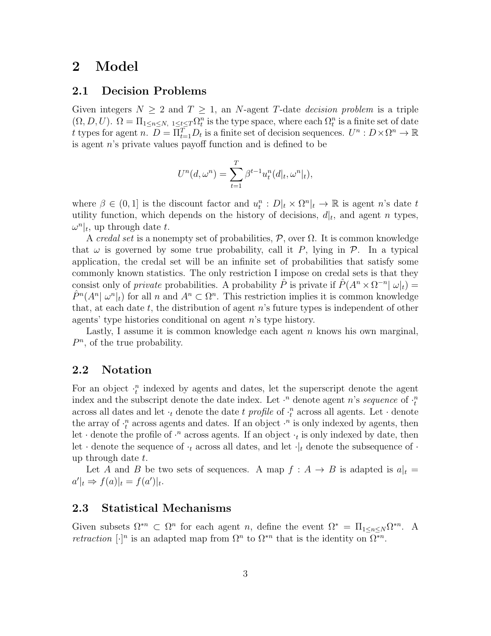## 2 Model

#### 2.1 Decision Problems

Given integers  $N \geq 2$  and  $T \geq 1$ , an N-agent T-date *decision problem* is a triple  $(\Omega, D, U)$ .  $\Omega = \prod_{1 \leq n \leq N, 1 \leq t \leq T} \Omega_t^n$  is the type space, where each  $\Omega_t^n$  is a finite set of date t types for agent  $n \cdot \overline{D} = \overline{\Pi}_{t=1}^T D_t$  is a finite set of decision sequences.  $U^n : D \times \Omega^n \to \mathbb{R}$ is agent n's private values payoff function and is defined to be

$$
U^n(d, \omega^n) = \sum_{t=1}^T \beta^{t-1} u_t^n(d|_t, \omega^n|_t),
$$

where  $\beta \in (0,1]$  is the discount factor and  $u_t^n : D|_t \times \Omega^n|_t \to \mathbb{R}$  is agent n's date t utility function, which depends on the history of decisions,  $d|_t$ , and agent n types,  $\omega^n|_t$ , up through date t.

A credal set is a nonempty set of probabilities,  $\mathcal{P}$ , over  $\Omega$ . It is common knowledge that  $\omega$  is governed by some true probability, call it P, lying in  $\mathcal{P}$ . In a typical application, the credal set will be an infinite set of probabilities that satisfy some commonly known statistics. The only restriction I impose on credal sets is that they consist only of *private* probabilities. A probability  $\hat{P}$  is private if  $\hat{P}(A^n \times \Omega^{-n} | \omega|_t) =$  $\hat{P}^n(A^n | \omega^n|_t)$  for all n and  $A^n \subset \Omega^n$ . This restriction implies it is common knowledge that, at each date  $t$ , the distribution of agent  $n$ 's future types is independent of other agents' type histories conditional on agent n's type history.

Lastly, I assume it is common knowledge each agent  $n$  knows his own marginal,  $P<sup>n</sup>$ , of the true probability.

### 2.2 Notation

For an object  $\cdot_t^n$  indexed by agents and dates, let the superscript denote the agent index and the subscript denote the date index. Let  $\cdot^n$  denote agent n's sequence of  $\cdot_t^n$ across all dates and let  $\cdot_t$  denote the date  $t$  profile of  $\cdot_t^n$  across all agents. Let  $\cdot$  denote the array of  $\cdot_t^n$  across agents and dates. If an object  $\cdot^n$  is only indexed by agents, then let  $\cdot$  denote the profile of  $\cdot^n$  across agents. If an object  $\cdot_t$  is only indexed by date, then let  $\cdot$  denote the sequence of  $\cdot_t$  across all dates, and let  $\cdot|_t$  denote the subsequence of  $\cdot$ up through date  $t$ .

Let A and B be two sets of sequences. A map  $f : A \rightarrow B$  is adapted is  $a|_t =$  $a'|_t \Rightarrow f(a)|_t = f(a')|_t.$ 

#### 2.3 Statistical Mechanisms

Given subsets  $\Omega^{*n} \subset \Omega^n$  for each agent n, define the event  $\Omega^* = \Pi_{1 \leq n \leq N} \Omega^{*n}$ . A *retraction* [·]<sup>*n*</sup> is an adapted map from  $\Omega^n$  to  $\Omega^{*n}$  that is the identity on  $\Omega^{*n}$ .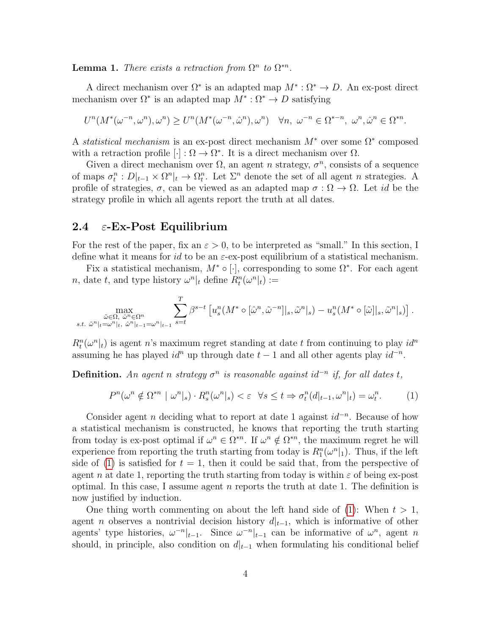<span id="page-4-1"></span>**Lemma 1.** There exists a retraction from  $\Omega^n$  to  $\Omega^{*n}$ .

A direct mechanism over  $\Omega^*$  is an adapted map  $M^*: \Omega^* \to D$ . An ex-post direct mechanism over  $\Omega^*$  is an adapted map  $M^* : \Omega^* \to D$  satisfying

$$
U^n(M^*(\omega^{-n}, \omega^n), \omega^n) \ge U^n(M^*(\omega^{-n}, \hat{\omega}^n), \omega^n) \quad \forall n, \ \omega^{-n} \in \Omega^{*-n}, \ \omega^n, \hat{\omega}^n \in \Omega^{*n}.
$$

A statistical mechanism is an ex-post direct mechanism  $M^*$  over some  $\Omega^*$  composed with a retraction profile  $[\cdot] : \Omega \to \Omega^*$ . It is a direct mechanism over  $\Omega$ .

Given a direct mechanism over  $\Omega$ , an agent *n* strategy,  $\sigma^n$ , consists of a sequence of maps  $\sigma_t^n : D|_{t-1} \times \Omega^n|_t \to \Omega_t^n$ . Let  $\Sigma^n$  denote the set of all agent n strategies. A profile of strategies,  $\sigma$ , can be viewed as an adapted map  $\sigma : \Omega \to \Omega$ . Let id be the strategy profile in which all agents report the truth at all dates.

#### 2.4  $\varepsilon$ -Ex-Post Equilibrium

For the rest of the paper, fix an  $\varepsilon > 0$ , to be interpreted as "small." In this section, I define what it means for id to be an  $\varepsilon$ -ex-post equilibrium of a statistical mechanism.

Fix a statistical mechanism,  $M^* \circ [\cdot]$ , corresponding to some  $\Omega^*$ . For each agent *n*, date *t*, and type history  $\omega^n|_t$  define  $R_t^n(\omega^n|_t) :=$ 

$$
\max_{\substack{\tilde{\omega}\in\Omega,\ \tilde{\omega}^n\in\Omega^n\\\text{s.t. } \tilde{\omega}^n|_t=\omega^n|_t,\ \hat{\omega}^n|_{t-1}=\omega^n|_{t-1} }}\sum_{s=t}^T\beta^{s-t}\left[u^n_s(M^*\circ[\hat{\omega}^n,\tilde{\omega}^{-n}]|_s,\tilde{\omega}^n|_s)-u^n_s(M^*\circ[\tilde{\omega}]|_s,\tilde{\omega}^n|_s)\right].
$$

 $R_t^n(\omega^n|_t)$  is agent n's maximum regret standing at date t from continuing to play  $id^n$ assuming he has played id<sup>n</sup> up through date  $t - 1$  and all other agents play id<sup>-n</sup>.

**Definition.** An agent n strategy  $\sigma^n$  is reasonable against id<sup>-n</sup> if, for all dates t,

<span id="page-4-0"></span>
$$
P^{n}(\omega^{n} \notin \Omega^{*n} \mid \omega^{n}|_{s}) \cdot R_{s}^{n}(\omega^{n}|_{s}) < \varepsilon \quad \forall s \leq t \Rightarrow \sigma_{t}^{n}(d|_{t-1}, \omega^{n}|_{t}) = \omega_{t}^{n}.
$$
 (1)

Consider agent n deciding what to report at date 1 against  $id^{-n}$ . Because of how a statistical mechanism is constructed, he knows that reporting the truth starting from today is ex-post optimal if  $\omega^n \in \Omega^{*n}$ . If  $\omega^n \notin \Omega^{*n}$ , the maximum regret he will experience from reporting the truth starting from today is  $R_1^n(\omega^n|_1)$ . Thus, if the left side of [\(1\)](#page-4-0) is satisfied for  $t = 1$ , then it could be said that, from the perspective of agent n at date 1, reporting the truth starting from today is within  $\varepsilon$  of being ex-post optimal. In this case, I assume agent n reports the truth at date 1. The definition is now justified by induction.

One thing worth commenting on about the left hand side of [\(1\)](#page-4-0): When  $t > 1$ , agent *n* observes a nontrivial decision history  $d|_{t-1}$ , which is informative of other agents' type histories,  $\omega^{-n}|_{t-1}$ . Since  $\omega^{-n}|_{t-1}$  can be informative of  $\omega^n$ , agent n should, in principle, also condition on  $d|_{t-1}$  when formulating his conditional belief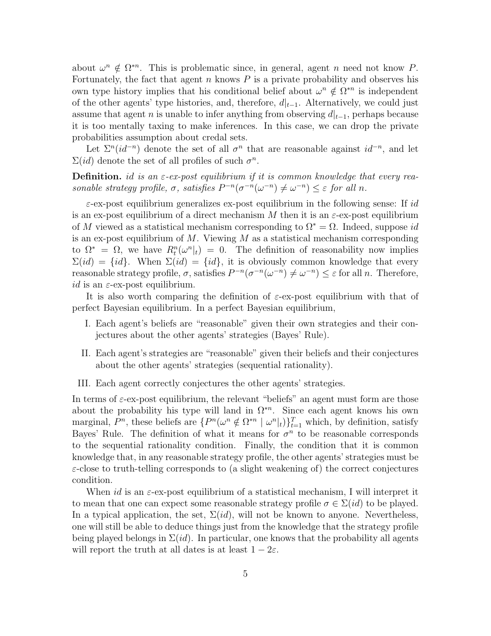about  $\omega^n \notin \Omega^{*n}$ . This is problematic since, in general, agent *n* need not know *P*. Fortunately, the fact that agent  $n$  knows  $P$  is a private probability and observes his own type history implies that his conditional belief about  $\omega^n \notin \Omega^{*n}$  is independent of the other agents' type histories, and, therefore,  $d|_{t-1}$ . Alternatively, we could just assume that agent *n* is unable to infer anything from observing  $d|_{t-1}$ , perhaps because it is too mentally taxing to make inferences. In this case, we can drop the private probabilities assumption about credal sets.

Let  $\Sigma^{n}(id^{-n})$  denote the set of all  $\sigma^{n}$  that are reasonable against  $id^{-n}$ , and let  $\Sigma(id)$  denote the set of all profiles of such  $\sigma^n$ .

**Definition.** id is an  $\varepsilon$ -ex-post equilibrium if it is common knowledge that every reasonable strategy profile,  $\sigma$ , satisfies  $P^{-n}(\sigma^{-n}(\omega^{-n}) \neq \omega^{-n}) \leq \varepsilon$  for all n.

 $\varepsilon$ -ex-post equilibrium generalizes ex-post equilibrium in the following sense: If id is an ex-post equilibrium of a direct mechanism M then it is an  $\varepsilon$ -ex-post equilibrium of M viewed as a statistical mechanism corresponding to  $\Omega^* = \Omega$ . Indeed, suppose id is an ex-post equilibrium of  $M$ . Viewing  $M$  as a statistical mechanism corresponding to  $\Omega^* = \Omega$ , we have  $R_t^n(\omega^n|_t) = 0$ . The definition of reasonability now implies  $\Sigma(id) = \{id\}$ . When  $\Sigma(id) = \{id\}$ , it is obviously common knowledge that every reasonable strategy profile,  $\sigma$ , satisfies  $P^{-n}(\sigma^{-n}(\omega^{-n}) \neq \omega^{-n}) \leq \varepsilon$  for all n. Therefore, id is an  $\varepsilon$ -ex-post equilibrium.

It is also worth comparing the definition of  $\varepsilon$ -ex-post equilibrium with that of perfect Bayesian equilibrium. In a perfect Bayesian equilibrium,

- I. Each agent's beliefs are "reasonable" given their own strategies and their conjectures about the other agents' strategies (Bayes' Rule).
- II. Each agent's strategies are "reasonable" given their beliefs and their conjectures about the other agents' strategies (sequential rationality).
- III. Each agent correctly conjectures the other agents' strategies.

In terms of  $\varepsilon$ -ex-post equilibrium, the relevant "beliefs" an agent must form are those about the probability his type will land in  $\Omega^{*n}$ . Since each agent knows his own marginal,  $P^n$ , these beliefs are  $\{P^n(\omega^n \notin \Omega^{*n} \mid \omega^n|_t)\}_{t=1}^T$  which, by definition, satisfy Bayes' Rule. The definition of what it means for  $\sigma^n$  to be reasonable corresponds to the sequential rationality condition. Finally, the condition that it is common knowledge that, in any reasonable strategy profile, the other agents' strategies must be  $\varepsilon$ -close to truth-telling corresponds to (a slight weakening of) the correct conjectures condition.

When id is an  $\varepsilon$ -ex-post equilibrium of a statistical mechanism, I will interpret it to mean that one can expect some reasonable strategy profile  $\sigma \in \Sigma(id)$  to be played. In a typical application, the set,  $\Sigma(id)$ , will not be known to anyone. Nevertheless, one will still be able to deduce things just from the knowledge that the strategy profile being played belongs in  $\Sigma(id)$ . In particular, one knows that the probability all agents will report the truth at all dates is at least  $1 - 2\varepsilon$ .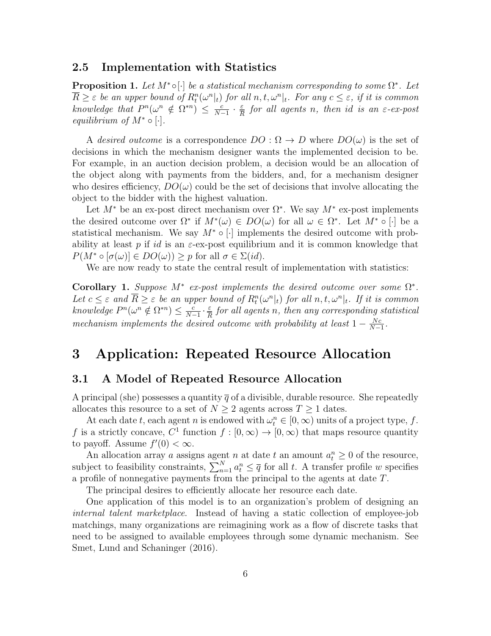#### 2.5 Implementation with Statistics

<span id="page-6-0"></span>**Proposition 1.** Let  $M^* \circ [\cdot]$  be a statistical mechanism corresponding to some  $\Omega^*$ . Let  $\overline{R} \geq \varepsilon$  be an upper bound of  $R_t^n(\omega^n|_t)$  for all  $n, t, \omega^n|_t$ . For any  $c \leq \varepsilon$ , if it is common knowledge that  $P^n(\omega^n \notin \Omega^{*n}) \leq \frac{c}{N}$  $\frac{c}{N-1} \cdot \frac{\varepsilon}{\overline{R}}$  $\frac{\varepsilon}{R}$  for all agents n, then id is an  $\varepsilon$ -ex-post equilibrium of  $M^* \circ [\cdot]$ .

A desired outcome is a correspondence  $DO: \Omega \to D$  where  $DO(\omega)$  is the set of decisions in which the mechanism designer wants the implemented decision to be. For example, in an auction decision problem, a decision would be an allocation of the object along with payments from the bidders, and, for a mechanism designer who desires efficiency,  $DO(\omega)$  could be the set of decisions that involve allocating the object to the bidder with the highest valuation.

Let  $M^*$  be an ex-post direct mechanism over  $\Omega^*$ . We say  $M^*$  ex-post implements the desired outcome over  $\Omega^*$  if  $M^*(\omega) \in DO(\omega)$  for all  $\omega \in \Omega^*$ . Let  $M^* \circ [\cdot]$  be a statistical mechanism. We say  $M^* \circ [\cdot]$  implements the desired outcome with probability at least p if id is an  $\varepsilon$ -ex-post equilibrium and it is common knowledge that  $P(M^* \circ [\sigma(\omega)] \in DO(\omega)) > p$  for all  $\sigma \in \Sigma(id)$ .

We are now ready to state the central result of implementation with statistics:

<span id="page-6-1"></span>Corollary 1. Suppose  $M^*$  ex-post implements the desired outcome over some  $\Omega^*$ . Let  $c \leq \varepsilon$  and  $\overline{R} \geq \varepsilon$  be an upper bound of  $R_t^n(\omega^n|_t)$  for all  $n, t, \omega^n|_t$ . If it is common knowledge  $P^n(\omega^n \notin \Omega^{*n}) \leq \frac{c}{N}$  $\frac{c}{N-1} \cdot \frac{\varepsilon}{\overline{R}}$  $\frac{\varepsilon}{R}$  for all agents n, then any corresponding statistical mechanism implements the desired outcome with probability at least  $1 - \frac{Nc}{N-1}$  $\frac{Nc}{N-1}$ .

# 3 Application: Repeated Resource Allocation

#### 3.1 A Model of Repeated Resource Allocation

A principal (she) possesses a quantity  $\bar{q}$  of a divisible, durable resource. She repeatedly allocates this resource to a set of  $N \geq 2$  agents across  $T \geq 1$  dates.

At each date t, each agent n is endowed with  $\omega_t^n \in [0, \infty)$  units of a project type, f. f is a strictly concave,  $C^1$  function  $f : [0, \infty) \to [0, \infty)$  that maps resource quantity to payoff. Assume  $f'(0) < \infty$ .

An allocation array a assigns agent n at date t an amount  $a_t^n \geq 0$  of the resource, subject to feasibility constraints,  $\sum_{n=1}^{N} a_t^n \leq \overline{q}$  for all t. A transfer profile w specifies a profile of nonnegative payments from the principal to the agents at date T.

The principal desires to efficiently allocate her resource each date.

One application of this model is to an organization's problem of designing an internal talent marketplace. Instead of having a static collection of employee-job matchings, many organizations are reimagining work as a flow of discrete tasks that need to be assigned to available employees through some dynamic mechanism. See Smet, Lund and Schaninger (2016).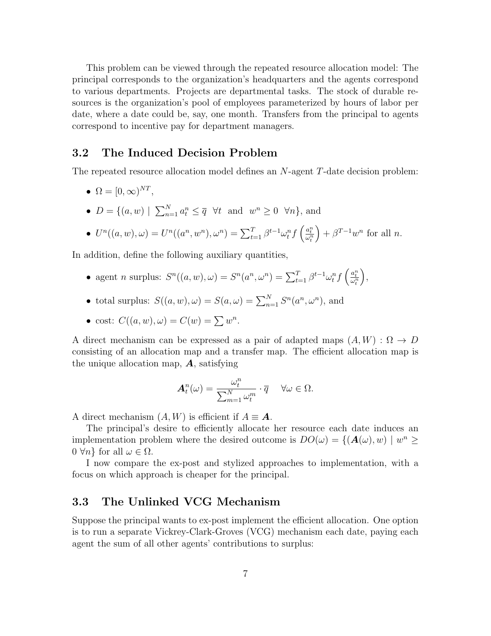This problem can be viewed through the repeated resource allocation model: The principal corresponds to the organization's headquarters and the agents correspond to various departments. Projects are departmental tasks. The stock of durable resources is the organization's pool of employees parameterized by hours of labor per date, where a date could be, say, one month. Transfers from the principal to agents correspond to incentive pay for department managers.

### 3.2 The Induced Decision Problem

The repeated resource allocation model defines an N-agent T-date decision problem:

- $\Omega = [0, \infty)^{NT}$ ,
- $D = \{(a, w) | \sum_{n=1}^{N} a_i^n \leq \overline{q} \ \forall t \text{ and } w^n \geq 0 \ \forall n\},\$ and

• 
$$
U^n((a, w), \omega) = U^n((a^n, w^n), \omega^n) = \sum_{t=1}^T \beta^{t-1} \omega_t^n f\left(\frac{a_t^n}{\omega_t^n}\right) + \beta^{T-1} w^n
$$
 for all *n*.

In addition, define the following auxiliary quantities,

- agent *n* surplus:  $S^n((a, w), \omega) = S^n(a^n, \omega^n) = \sum_{t=1}^T \beta^{t-1} \omega_t^n f\left(\frac{a_t^n}{\omega_t^n}\right)$  $\big),$
- total surplus:  $S((a, w), \omega) = S(a, \omega) = \sum_{n=1}^{N} S^n(a^n, \omega^n)$ , and
- cost:  $C((a, w), \omega) = C(w) = \sum w^n$ .

A direct mechanism can be expressed as a pair of adapted maps  $(A, W) : \Omega \to D$ consisting of an allocation map and a transfer map. The efficient allocation map is the unique allocation map,  $\boldsymbol{A}$ , satisfying

$$
\boldsymbol{A}_t^n(\omega) = \frac{\omega_t^n}{\sum_{m=1}^N \omega_t^m} \cdot \overline{q} \quad \forall \omega \in \Omega.
$$

A direct mechanism  $(A, W)$  is efficient if  $A \equiv \mathbf{A}$ .

The principal's desire to efficiently allocate her resource each date induces an implementation problem where the desired outcome is  $DO(\omega) = \{(\mathbf{A}(\omega), w) \mid w^n \geq \mathbf{A}(\omega)\}$  $0 \forall n$  for all  $\omega \in \Omega$ .

I now compare the ex-post and stylized approaches to implementation, with a focus on which approach is cheaper for the principal.

### 3.3 The Unlinked VCG Mechanism

Suppose the principal wants to ex-post implement the efficient allocation. One option is to run a separate Vickrey-Clark-Groves (VCG) mechanism each date, paying each agent the sum of all other agents' contributions to surplus: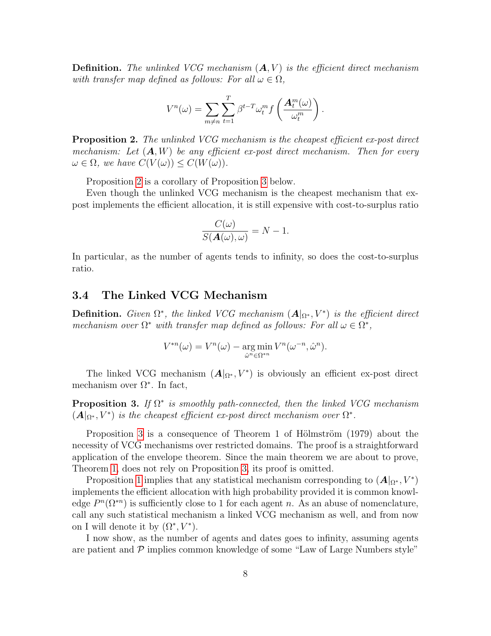**Definition.** The unlinked VCG mechanism  $(A, V)$  is the efficient direct mechanism with transfer map defined as follows: For all  $\omega \in \Omega$ ,

$$
V^n(\omega) = \sum_{m \neq n} \sum_{t=1}^T \beta^{t-T} \omega_t^m f\left(\frac{\mathbf{A}_t^m(\omega)}{\omega_t^m}\right).
$$

<span id="page-8-0"></span>**Proposition 2.** The unlinked VCG mechanism is the cheapest efficient ex-post direct mechanism: Let  $(\mathbf{A}, W)$  be any efficient ex-post direct mechanism. Then for every  $\omega \in \Omega$ , we have  $C(V(\omega)) \leq C(W(\omega))$ .

Proposition [2](#page-8-0) is a corollary of Proposition [3](#page-8-1) below.

Even though the unlinked VCG mechanism is the cheapest mechanism that expost implements the efficient allocation, it is still expensive with cost-to-surplus ratio

$$
\frac{C(\omega)}{S(\mathbf{A}(\omega), \omega)} = N - 1.
$$

In particular, as the number of agents tends to infinity, so does the cost-to-surplus ratio.

### 3.4 The Linked VCG Mechanism

**Definition.** Given  $\Omega^*$ , the linked VCG mechanism  $(\mathbf{A}|_{\Omega^*}, V^*)$  is the efficient direct mechanism over  $\Omega^*$  with transfer map defined as follows: For all  $\omega \in \Omega^*$ ,

$$
V^{*n}(\omega) = V^n(\omega) - \underset{\hat{\omega}^n \in \Omega^{*n}}{\arg \min} V^n(\omega^{-n}, \hat{\omega}^n).
$$

The linked VCG mechanism  $(A|_{\Omega^*}, V^*)$  is obviously an efficient ex-post direct mechanism over  $\Omega^*$ . In fact,

<span id="page-8-1"></span>**Proposition 3.** If  $\Omega^*$  is smoothly path-connected, then the linked VCG mechanism  $(\mathbf{A}|_{\Omega^*}, V^*)$  is the cheapest efficient ex-post direct mechanism over  $\Omega^*$ .

Proposition [3](#page-8-1) is a consequence of Theorem 1 of Hölmström  $(1979)$  about the necessity of VCG mechanisms over restricted domains. The proof is a straightforward application of the envelope theorem. Since the main theorem we are about to prove, Theorem [1,](#page-10-0) does not rely on Proposition [3,](#page-8-1) its proof is omitted.

Proposition [1](#page-6-0) implies that any statistical mechanism corresponding to  $(\mathbf{A}|_{\Omega^*}, V^*)$ implements the efficient allocation with high probability provided it is common knowledge  $P^{n}(\Omega^{*n})$  is sufficiently close to 1 for each agent n. As an abuse of nomenclature, call any such statistical mechanism a linked VCG mechanism as well, and from now on I will denote it by  $(\Omega^*, V^*)$ .

I now show, as the number of agents and dates goes to infinity, assuming agents are patient and  $\mathcal P$  implies common knowledge of some "Law of Large Numbers style"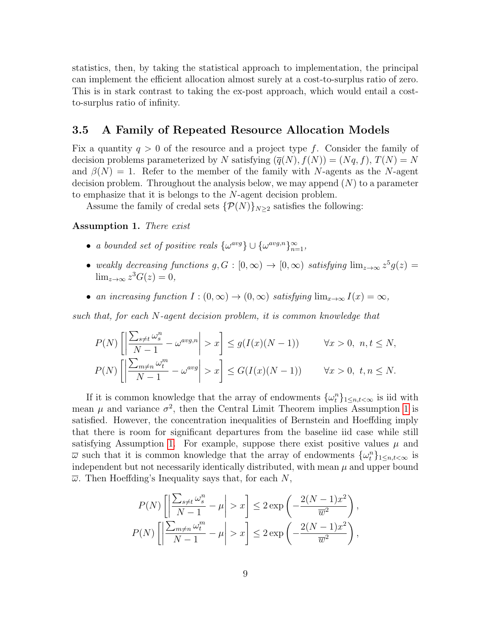statistics, then, by taking the statistical approach to implementation, the principal can implement the efficient allocation almost surely at a cost-to-surplus ratio of zero. This is in stark contrast to taking the ex-post approach, which would entail a costto-surplus ratio of infinity.

### 3.5 A Family of Repeated Resource Allocation Models

Fix a quantity  $q > 0$  of the resource and a project type f. Consider the family of decision problems parameterized by N satisfying  $(\overline{q}(N), f(N)) = (Nq, f), T(N) = N$ and  $\beta(N) = 1$ . Refer to the member of the family with N-agents as the N-agent decision problem. Throughout the analysis below, we may append  $(N)$  to a parameter to emphasize that it is belongs to the N-agent decision problem.

Assume the family of credal sets  $\{\mathcal{P}(N)\}_{N\geq 2}$  satisfies the following:

#### <span id="page-9-0"></span>Assumption 1. There exist

- a bounded set of positive reals  $\{\omega^{avg}\} \cup {\{\omega^{avg,n}\}}_{n=1}^{\infty}$ ,
- weakly decreasing functions  $g, G : [0, \infty) \to [0, \infty)$  satisfying  $\lim_{z\to\infty} z^5 g(z) =$  $\lim_{z\to\infty} z^3 G(z) = 0,$
- an increasing function  $I:(0,\infty) \to (0,\infty)$  satisfying  $\lim_{x\to\infty} I(x) = \infty$ ,

such that, for each N-agent decision problem, it is common knowledge that

$$
P(N) \left[ \left| \frac{\sum_{s \neq t} \omega_s^n}{N - 1} - \omega^{avg, n} \right| > x \right] \le g(I(x)(N - 1)) \qquad \forall x > 0, \ n, t \le N,
$$
\n
$$
P(N) \left[ \left| \frac{\sum_{m \neq n} \omega_t^m}{N - 1} - \omega^{avg} \right| > x \right] \le G(I(x)(N - 1)) \qquad \forall x > 0, \ t, n \le N.
$$

If it is common knowledge that the array of endowments  $\{\omega_t^n\}_{1 \leq n,t < \infty}$  is iid with mean  $\mu$  and variance  $\sigma^2$ , then the Central Limit Theorem implies Assumption [1](#page-9-0) is satisfied. However, the concentration inequalities of Bernstein and Hoeffding imply that there is room for significant departures from the baseline iid case while still satisfying Assumption [1.](#page-9-0) For example, suppose there exist positive values  $\mu$  and  $\overline{\omega}$  such that it is common knowledge that the array of endowments  $\{\omega_t^n\}_{1 \leq n,t < \infty}$  is independent but not necessarily identically distributed, with mean  $\mu$  and upper bound  $\overline{\omega}$ . Then Hoeffding's Inequality says that, for each N,

$$
P(N)\left[\left|\frac{\sum_{s\neq t} \omega_s^n}{N-1} - \mu\right| > x\right] \le 2 \exp\left(-\frac{2(N-1)x^2}{\overline{w}^2}\right),
$$
  

$$
P(N)\left[\left|\frac{\sum_{m\neq n} \omega_t^m}{N-1} - \mu\right| > x\right] \le 2 \exp\left(-\frac{2(N-1)x^2}{\overline{w}^2}\right),
$$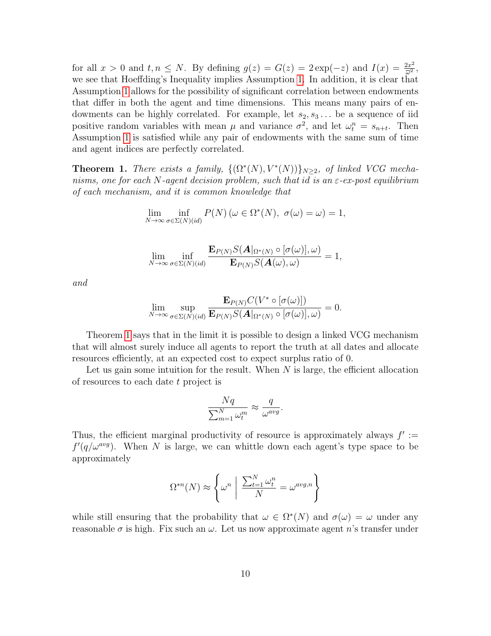for all  $x > 0$  and  $t, n \leq N$ . By defining  $g(z) = G(z) = 2 \exp(-z)$  and  $I(x) = \frac{2x^2}{\sigma^2}$  $\frac{2x^2}{\overline{\omega}^2},$ we see that Hoeffding's Inequality implies Assumption [1.](#page-9-0) In addition, it is clear that Assumption [1](#page-9-0) allows for the possibility of significant correlation between endowments that differ in both the agent and time dimensions. This means many pairs of endowments can be highly correlated. For example, let  $s_2, s_3, \ldots$  be a sequence of iid positive random variables with mean  $\mu$  and variance  $\sigma^2$ , and let  $\omega_t^n = s_{n+t}$ . Then Assumption [1](#page-9-0) is satisfied while any pair of endowments with the same sum of time and agent indices are perfectly correlated.

<span id="page-10-0"></span>**Theorem 1.** There exists a family,  $\{(\Omega^*(N), V^*(N))\}_{N\geq 2}$ , of linked VCG mechanisms, one for each N-agent decision problem, such that id is an  $\varepsilon$ -ex-post equilibrium of each mechanism, and it is common knowledge that

$$
\lim_{N \to \infty} \inf_{\sigma \in \Sigma(N)(id)} P(N) \left( \omega \in \Omega^*(N), \ \sigma(\omega) = \omega \right) = 1,
$$

$$
\lim_{N \to \infty} \inf_{\sigma \in \Sigma(N)(id)} \frac{\mathbf{E}_{P(N)} S(\mathbf{A}|_{\Omega^*(N)} \circ [\sigma(\omega)], \omega)}{\mathbf{E}_{P(N)} S(\mathbf{A}(\omega), \omega)} = 1,
$$

and

$$
\lim_{N \to \infty} \sup_{\sigma \in \Sigma(N)(id)} \frac{\mathbf{E}_{P(N)} C(V^* \circ [\sigma(\omega)])}{\mathbf{E}_{P(N)} S(A|_{\Omega^*(N)} \circ [\sigma(\omega)], \omega)} = 0.
$$

Theorem [1](#page-10-0) says that in the limit it is possible to design a linked VCG mechanism that will almost surely induce all agents to report the truth at all dates and allocate resources efficiently, at an expected cost to expect surplus ratio of 0.

Let us gain some intuition for the result. When  $N$  is large, the efficient allocation of resources to each date t project is

$$
\frac{Nq}{\sum_{m=1}^{N} \omega_t^m} \approx \frac{q}{\omega^{avg}}.
$$

Thus, the efficient marginal productivity of resource is approximately always  $f' :=$  $f'(q/\omega^{avg})$ . When N is large, we can whittle down each agent's type space to be approximately

$$
\Omega^{*n}(N) \approx \left\{ \omega^n \mid \frac{\sum_{t=1}^N \omega_t^n}{N} = \omega^{avg,n} \right\}
$$

while still ensuring that the probability that  $\omega \in \Omega^*(N)$  and  $\sigma(\omega) = \omega$  under any reasonable  $\sigma$  is high. Fix such an  $\omega$ . Let us now approximate agent n's transfer under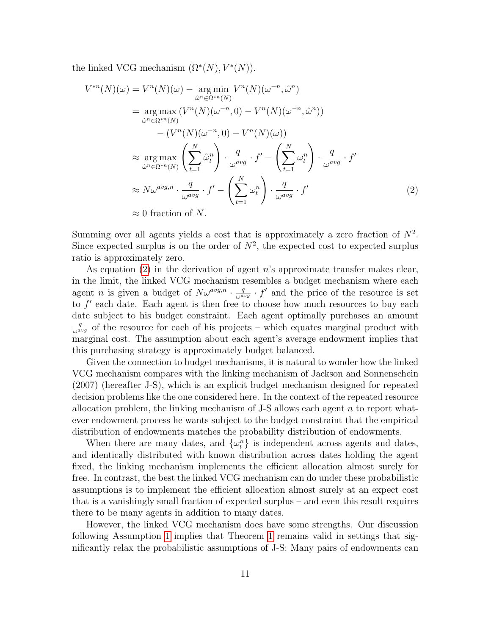the linked VCG mechanism  $(\Omega^*(N), V^*(N)).$ 

<span id="page-11-0"></span>
$$
V^{*n}(N)(\omega) = V^n(N)(\omega) - \underset{\hat{\omega}^n \in \Omega^{*n}(N)}{\arg \min} V^n(N)(\omega^{-n}, \hat{\omega}^n)
$$
  
\n
$$
= \underset{\hat{\omega}^n \in \Omega^{*n}(N)}{\arg \max} (V^n(N)(\omega^{-n}, 0) - V^n(N)(\omega^{-n}, \hat{\omega}^n))
$$
  
\n
$$
- (V^n(N)(\omega^{-n}, 0) - V^n(N)(\omega))
$$
  
\n
$$
\approx \underset{\hat{\omega}^n \in \Omega^{*n}(N)}{\arg \max} \left( \sum_{t=1}^N \hat{\omega}_t^n \right) \cdot \frac{q}{\omega^{avg}} \cdot f' - \left( \sum_{t=1}^N \omega_t^n \right) \cdot \frac{q}{\omega^{avg}} \cdot f'
$$
  
\n
$$
\approx N\omega^{avg,n} \cdot \frac{q}{\omega^{avg}} \cdot f' - \left( \sum_{t=1}^N \omega_t^n \right) \cdot \frac{q}{\omega^{avg}} \cdot f'
$$
  
\n
$$
\approx 0 \text{ fraction of } N.
$$
 (2)

Summing over all agents yields a cost that is approximately a zero fraction of  $N^2$ . Since expected surplus is on the order of  $N^2$ , the expected cost to expected surplus ratio is approximately zero.

As equation [\(2\)](#page-11-0) in the derivation of agent  $n$ 's approximate transfer makes clear, in the limit, the linked VCG mechanism resembles a budget mechanism where each agent *n* is given a budget of  $N\omega^{avg,n} \cdot \frac{q}{\omega^{avg}} \cdot f'$  and the price of the resource is set to  $f'$  each date. Each agent is then free to choose how much resources to buy each date subject to his budget constraint. Each agent optimally purchases an amount  $\frac{q}{\omega^{avg}}$  of the resource for each of his projects – which equates marginal product with marginal cost. The assumption about each agent's average endowment implies that this purchasing strategy is approximately budget balanced.

Given the connection to budget mechanisms, it is natural to wonder how the linked VCG mechanism compares with the linking mechanism of Jackson and Sonnenschein (2007) (hereafter J-S), which is an explicit budget mechanism designed for repeated decision problems like the one considered here. In the context of the repeated resource allocation problem, the linking mechanism of J-S allows each agent  $n$  to report whatever endowment process he wants subject to the budget constraint that the empirical distribution of endowments matches the probability distribution of endowments.

When there are many dates, and  $\{\omega_t^n\}$  is independent across agents and dates, and identically distributed with known distribution across dates holding the agent fixed, the linking mechanism implements the efficient allocation almost surely for free. In contrast, the best the linked VCG mechanism can do under these probabilistic assumptions is to implement the efficient allocation almost surely at an expect cost that is a vanishingly small fraction of expected surplus – and even this result requires there to be many agents in addition to many dates.

However, the linked VCG mechanism does have some strengths. Our discussion following Assumption [1](#page-9-0) implies that Theorem [1](#page-10-0) remains valid in settings that significantly relax the probabilistic assumptions of J-S: Many pairs of endowments can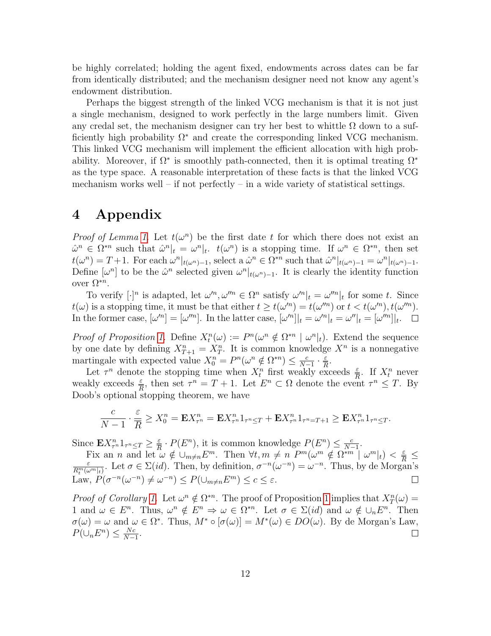be highly correlated; holding the agent fixed, endowments across dates can be far from identically distributed; and the mechanism designer need not know any agent's endowment distribution.

Perhaps the biggest strength of the linked VCG mechanism is that it is not just a single mechanism, designed to work perfectly in the large numbers limit. Given any credal set, the mechanism designer can try her best to whittle  $\Omega$  down to a sufficiently high probability  $\Omega^*$  and create the corresponding linked VCG mechanism. This linked VCG mechanism will implement the efficient allocation with high probability. Moreover, if  $\Omega^*$  is smoothly path-connected, then it is optimal treating  $\Omega^*$ as the type space. A reasonable interpretation of these facts is that the linked VCG mechanism works well – if not perfectly – in a wide variety of statistical settings.

## 4 Appendix

*Proof of Lemma [1.](#page-4-1)* Let  $t(\omega^n)$  be the first date t for which there does not exist an  $\hat{\omega}^n \in \Omega^{*n}$  such that  $\hat{\omega}^n|_t = \omega^n|_t$ .  $t(\omega^n)$  is a stopping time. If  $\omega^n \in \Omega^{*n}$ , then set  $t(\omega^n) = T + 1$ . For each  $\omega^n|_{t(\omega^n)-1}$ , select a  $\hat{\omega}^n \in \Omega^{*n}$  such that  $\hat{\omega}^n|_{t(\omega^n)-1} = \omega^n|_{t(\omega^n)-1}$ . Define  $[\omega^n]$  to be the  $\hat{\omega}^n$  selected given  $\omega^n|_{t(\omega^n)-1}$ . It is clearly the identity function over  $\Omega^{*n}$ .

To verify  $[\cdot]^n$  is adapted, let  $\omega'^n, \omega''^n \in \Omega^n$  satisfy  $\omega'^n|_t = \omega''^n|_t$  for some t. Since  $t(\omega)$  is a stopping time, it must be that either  $t \ge t(\omega'^n) = t(\omega''^n)$  or  $t < t(\omega'^n)$ ,  $t(\omega''^n)$ . In the former case,  $[\omega''] = [\omega''']$ . In the latter case,  $[\omega'']_t = \omega''|_t = \omega''|_t = [\omega''']_t$ .

*Proof of Proposition [1.](#page-6-0)* Define  $X_t^n(\omega) := P^n(\omega^n \notin \Omega^{*n} \mid \omega^n|_t)$ . Extend the sequence by one date by defining  $X_{T+1}^n = X_T^n$ . It is common knowledge  $X^n$  is a nonnegative martingale with expected value  $X_0^n = P^n(\omega^n \notin \Omega^{*n}) \leq \frac{c}{N}$  $\frac{c}{N-1} \cdot \frac{\varepsilon}{\overline{R}}$  $\frac{\varepsilon}{\overline{R}}$ .

Let  $\tau^n$  denote the stopping time when  $X_t^n$  first weakly exceeds  $\frac{\varepsilon}{R}$ . If  $X_t^n$  never weakly exceeds  $\frac{\varepsilon}{R}$ , then set  $\tau^n = T + 1$ . Let  $E^n \subset \Omega$  denote the event  $\tau^n \leq T$ . By Doob's optional stopping theorem, we have

$$
\frac{c}{N-1} \cdot \frac{\varepsilon}{\overline{R}} \ge X_0^n = \mathbf{E} X_{\tau^n}^n = \mathbf{E} X_{\tau^n}^n \mathbf{1}_{\tau^n \le T} + \mathbf{E} X_{\tau^n}^n \mathbf{1}_{\tau^n = T+1} \ge \mathbf{E} X_{\tau^n}^n \mathbf{1}_{\tau^n \le T}.
$$

Since  $\mathbf{E} X_{\tau^n}^n 1_{\tau^n \leq T} \geq \frac{\varepsilon}{\overline{B}}$  $\frac{\varepsilon}{R} \cdot P(E^n)$ , it is common knowledge  $P(E^n) \leq \frac{c}{N}$  $\frac{c}{N-1}$ .

Fix an *n* and let  $\omega \notin \bigcup_{m \neq n} E^m$ . Then  $\forall t, m \neq n$   $P^m(\omega^m \notin \Omega^{*m}) \omega^m|_t$   $< \frac{\varepsilon}{R}$  $\frac{\varepsilon}{\overline{R}} \leq$  $\frac{\varepsilon}{R_t^m(\omega^m|_t)}$ . Let  $\sigma \in \Sigma(id)$ . Then, by definition,  $\sigma^{-n}(\omega^{-n}) = \omega^{-n}$ . Thus, by de Morgan's Law,  $P(\sigma^{-n}(\omega^{-n}) \neq \omega^{-n}) \leq P(\cup_{m \neq n} E^m) \leq c \leq \varepsilon$ .  $\Box$ 

*Proof of Corollary [1.](#page-6-1)* Let  $\omega^n \notin \Omega^{*n}$ . The proof of Proposition [1](#page-6-0) implies that  $X^n_T(\omega) =$ 1 and  $\omega \in E^n$ . Thus,  $\omega^n \notin E^n \Rightarrow \omega \in \Omega^{*n}$ . Let  $\sigma \in \Sigma(id)$  and  $\omega \notin \cup_n E^n$ . Then  $\sigma(\omega) = \omega$  and  $\omega \in \Omega^*$ . Thus,  $M^* \circ [\sigma(\omega)] = M^*(\omega) \in DO(\omega)$ . By de Morgan's Law,  $P(\cup_n E^n) \leq \frac{Nc}{N-1}$  $\frac{Nc}{N-1}$ .  $\Box$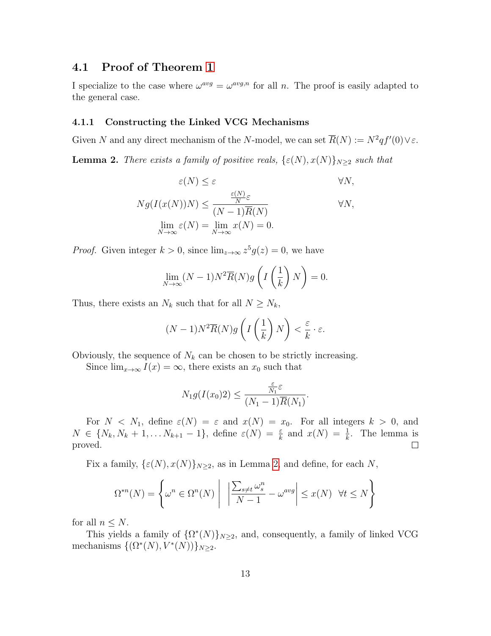### 4.1 Proof of Theorem [1](#page-10-0)

I specialize to the case where  $\omega^{avg} = \omega^{avg,n}$  for all n. The proof is easily adapted to the general case.

#### 4.1.1 Constructing the Linked VCG Mechanisms

Given N and any direct mechanism of the N-model, we can set  $\overline{R}(N) := N^2 q f'(0) \vee \varepsilon$ .

<span id="page-13-0"></span>**Lemma 2.** There exists a family of positive reals,  $\{\varepsilon(N), x(N)\}_{N\geq 2}$  such that

$$
\varepsilon(N) \leq \varepsilon \qquad \forall N,
$$
  
\n
$$
Ng(I(x(N))N) \leq \frac{\frac{\varepsilon(N)}{N}\varepsilon}{(N-1)\overline{R}(N)}
$$
  
\n
$$
\lim_{N \to \infty} \varepsilon(N) = \lim_{N \to \infty} x(N) = 0.
$$

*Proof.* Given integer  $k > 0$ , since  $\lim_{z \to \infty} z^5 g(z) = 0$ , we have

$$
\lim_{N \to \infty} (N-1)N^2 \overline{R}(N)g\left(I\left(\frac{1}{k}\right)N\right) = 0.
$$

Thus, there exists an  $N_k$  such that for all  $N \geq N_k$ ,

$$
(N-1)N^{2}\overline{R}(N)g\left(I\left(\frac{1}{k}\right)N\right)<\frac{\varepsilon}{k}\cdot\varepsilon.
$$

Obviously, the sequence of  $N_k$  can be chosen to be strictly increasing.

Since  $\lim_{x\to\infty} I(x) = \infty$ , there exists an  $x_0$  such that

$$
N_1 g(I(x_0)2) \le \frac{\frac{\varepsilon}{N_1}\varepsilon}{(N_1-1)\overline{R}(N_1)}
$$

.

For  $N < N_1$ , define  $\varepsilon(N) = \varepsilon$  and  $x(N) = x_0$ . For all integers  $k > 0$ , and  $N \in \{N_k, N_k+1, \ldots N_{k+1}-1\}$ , define  $\varepsilon(N) = \frac{\varepsilon}{k}$  and  $x(N) = \frac{1}{k}$ . The lemma is proved.  $\Box$ 

Fix a family,  $\{\varepsilon(N), x(N)\}_{N\geq 2}$ , as in Lemma [2,](#page-13-0) and define, for each N,

$$
\Omega^{*n}(N) = \left\{ \omega^n \in \Omega^n(N) \middle| \middle| \left| \frac{\sum_{s \neq t} \omega_s^n}{N - 1} - \omega^{avg} \right| \le x(N) \quad \forall t \le N \right\}
$$

for all  $n \leq N$ .

This yields a family of  $\{\Omega^*(N)\}_{N\geq 2}$ , and, consequently, a family of linked VCG mechanisms  $\{(\Omega^*(N), V^*(N))\}_{N\geq 2}$ .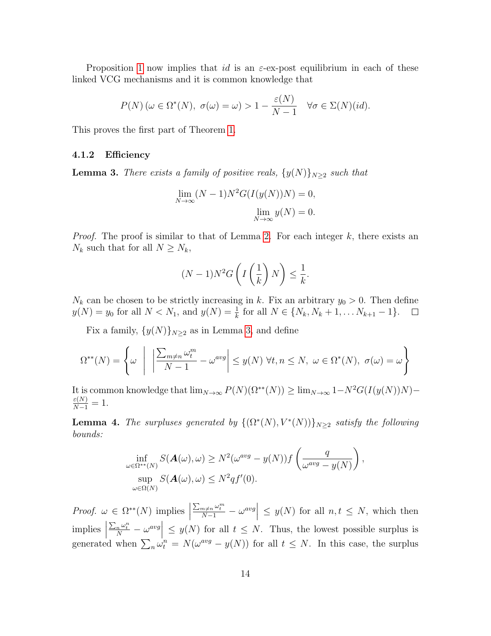Proposition [1](#page-6-0) now implies that id is an  $\varepsilon$ -ex-post equilibrium in each of these linked VCG mechanisms and it is common knowledge that

$$
P(N) \left( \omega \in \Omega^*(N), \ \sigma(\omega) = \omega \right) > 1 - \frac{\varepsilon(N)}{N-1} \quad \forall \sigma \in \Sigma(N)(id).
$$

This proves the first part of Theorem [1.](#page-10-0)

#### 4.1.2 Efficiency

<span id="page-14-0"></span>**Lemma 3.** There exists a family of positive reals,  $\{y(N)\}_{N\geq 2}$  such that

$$
\lim_{N \to \infty} (N-1)N^2 G(I(y(N))N) = 0,
$$
  

$$
\lim_{N \to \infty} y(N) = 0.
$$

*Proof.* The proof is similar to that of Lemma [2.](#page-13-0) For each integer  $k$ , there exists an  $N_k$  such that for all  $N \geq N_k$ ,

$$
(N-1)N^2G\left(I\left(\frac{1}{k}\right)N\right)\leq \frac{1}{k}.
$$

 $N_k$  can be chosen to be strictly increasing in k. Fix an arbitrary  $y_0 > 0$ . Then define  $y(N) = y_0$  for all  $N < N_1$ , and  $y(N) = \frac{1}{k}$  for all  $N \in \{N_k, N_k + 1, \dots N_{k+1} - 1\}$ .

Fix a family,  $\{y(N)\}_{N\geq 2}$  as in Lemma [3,](#page-14-0) and define

$$
\Omega^{**}(N) = \left\{ \omega \mid \left| \frac{\sum_{m \neq n} \omega_t^m}{N - 1} - \omega^{avg} \right| \le y(N) \ \forall t, n \le N, \ \omega \in \Omega^*(N), \ \sigma(\omega) = \omega \right\}
$$

It is common knowledge that  $\lim_{N\to\infty}P(N)(\Omega^{**}(N))\geq \lim_{N\to\infty}1-N^2G(I(y(N))N) \frac{\varepsilon(N)}{N-1}=1.$ 

<span id="page-14-1"></span>**Lemma 4.** The surpluses generated by  $\{(\Omega^*(N), V^*(N))\}_{N\geq 2}$  satisfy the following bounds:

$$
\inf_{\omega \in \Omega^{**}(N)} S(\mathbf{A}(\omega), \omega) \ge N^2(\omega^{avg} - y(N))f\left(\frac{q}{\omega^{avg} - y(N)}\right),
$$
  
\n
$$
\sup_{\omega \in \Omega(N)} S(\mathbf{A}(\omega), \omega) \le N^2qf'(0).
$$

*Proof.*  $\omega \in \Omega^{**}(N)$  implies |  $\left|\frac{\sum_{m\neq n}\omega_t^m}{N-1} - \omega^{avg}\right| \leq y(N)$  for all  $n, t \leq N$ , which then  $\frac{1}{2}$  implies  $\frac{1}{2}$  $\frac{\sum_{n} \omega_{t}^{n}}{N} - \omega^{avg} \leq y(N)$  for all  $t \leq N$ . Thus, the lowest possible surplus is generated when  $\sum_{n} \omega_t^n = N(\omega^{avg} - y(N))$  for all  $t \leq N$ . In this case, the surplus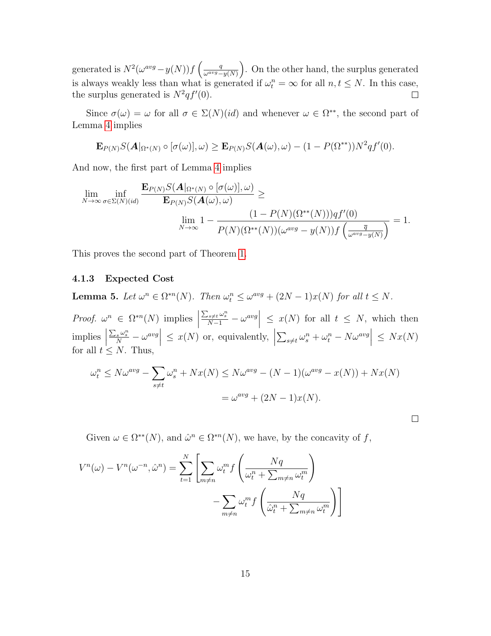generated is  $N^2(\omega^{avg}-y(N))f\left(\frac{q}{\omega^{avg}}\right)$  $\frac{q}{\omega^{avg}-y(N)}$ . On the other hand, the surplus generated is always weakly less than what is generated if  $\omega_t^n = \infty$  for all  $n, t \leq N$ . In this case, the surplus generated is  $N^2qf'(0)$ .  $\Box$ 

Since  $\sigma(\omega) = \omega$  for all  $\sigma \in \Sigma(N)(id)$  and whenever  $\omega \in \Omega^{**}$ , the second part of Lemma [4](#page-14-1) implies

$$
\mathbf{E}_{P(N)}S(\mathbf{A}|_{\Omega^*(N)}\circ[\sigma(\omega)],\omega)\geq \mathbf{E}_{P(N)}S(\mathbf{A}(\omega),\omega)-(1-P(\Omega^{**}))N^2qf'(0).
$$

And now, the first part of Lemma [4](#page-14-1) implies

$$
\lim_{N \to \infty} \inf_{\sigma \in \Sigma(N)(id)} \frac{\mathbf{E}_{P(N)} S(\mathbf{A} |_{\Omega^*(N)} \circ [\sigma(\omega)], \omega)}{\mathbf{E}_{P(N)} S(\mathbf{A}(\omega), \omega)} \ge \frac{(1 - P(N)(\Omega^{**}(N))) q f'(0)}{P(N)(\Omega^{**}(N))(\omega^{avg} - y(N)) f\left(\frac{\overline{q}}{\omega^{avg} - y(N)}\right)} = 1.
$$

This proves the second part of Theorem [1.](#page-10-0)

#### 4.1.3 Expected Cost

<span id="page-15-0"></span>**Lemma 5.** Let  $\omega^n \in \Omega^{*n}(N)$ . Then  $\omega_t^n \leq \omega^{avg} + (2N - 1)x(N)$  for all  $t \leq N$ .

*Proof.*  $\omega^n \in \Omega^{*n}(N)$  implies |  $\frac{\sum_{s\neq t}\omega_s^n}{N-1} - \omega^{avg}$   $\leq x(N)$  for all  $t \leq N$ , which then  $\lim \left| \right|$  $\left|\frac{\sum_{s} \omega_{s}^{n}}{N} - \omega^{avg}\right| \leq x(N)$  or, equivalently,  $\left| \sum_{s} w_{s}^{n} - \omega^{avg} \right|$  $\sum_{s \neq t} \omega_s^n + \omega_t^n - N \omega^{avg} \vert \leq Nx(N)$ for all  $t \leq N$ . Thus,

$$
\omega_t^n \le N\omega^{avg} - \sum_{s \ne t} \omega_s^n + Nx(N) \le N\omega^{avg} - (N-1)(\omega^{avg} - x(N)) + Nx(N)
$$

$$
= \omega^{avg} + (2N-1)x(N).
$$

 $\Box$ 

Given  $\omega \in \Omega^{**}(N)$ , and  $\hat{\omega}^n \in \Omega^{*n}(N)$ , we have, by the concavity of f,

$$
V^{n}(\omega) - V^{n}(\omega^{-n}, \hat{\omega}^{n}) = \sum_{t=1}^{N} \left[ \sum_{m \neq n} \omega_{t}^{m} f\left(\frac{Nq}{\omega_{t}^{n} + \sum_{m \neq n} \omega_{t}^{m}}\right) - \sum_{m \neq n} \omega_{t}^{m} f\left(\frac{Nq}{\hat{\omega}_{t}^{n} + \sum_{m \neq n} \omega_{t}^{m}}\right) \right]
$$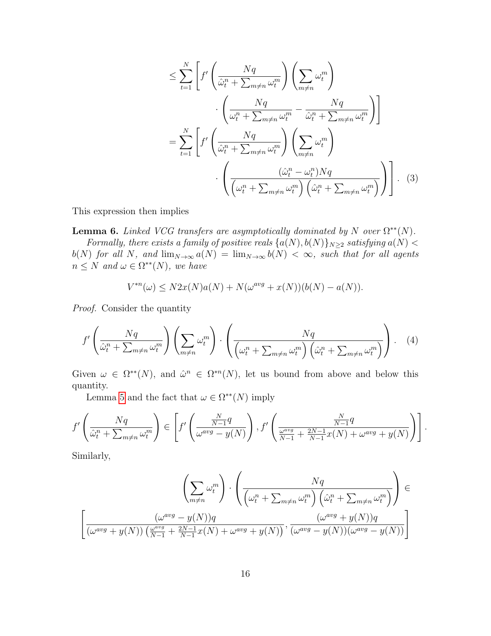<span id="page-16-0"></span>
$$
\leq \sum_{t=1}^{N} \left[ f' \left( \frac{Nq}{\hat{\omega}_t^n + \sum_{m \neq n} \omega_t^m} \right) \left( \sum_{m \neq n} \omega_t^m \right) \right. \\
\left. \left( \frac{Nq}{\omega_t^n + \sum_{m \neq n} \omega_t^m} - \frac{Nq}{\hat{\omega}_t^n + \sum_{m \neq n} \omega_t^m} \right) \right]
$$
\n
$$
= \sum_{t=1}^{N} \left[ f' \left( \frac{Nq}{\hat{\omega}_t^n + \sum_{m \neq n} \omega_t^m} \right) \left( \sum_{m \neq n} \omega_t^m \right) \right. \\
\left. \left( \frac{(\hat{\omega}_t^n - \omega_t^n) Nq}{\left( \omega_t^n + \sum_{m \neq n} \omega_t^m \right) \left( \hat{\omega}_t^n + \sum_{m \neq n} \omega_t^m \right)} \right) \right]. \tag{3}
$$

This expression then implies

<span id="page-16-1"></span>**Lemma 6.** Linked VCG transfers are asymptotically dominated by N over  $\Omega^{**}(N)$ . Formally, there exists a family of positive reals  $\{a(N), b(N)\}_{N\geq 2}$  satisfying  $a(N)$  <  $b(N)$  for all N, and  $\lim_{N\to\infty} a(N) = \lim_{N\to\infty} b(N) < \infty$ , such that for all agents  $n \leq N$  and  $\omega \in \Omega^{**}(N)$ , we have

$$
V^{*n}(\omega) \le N2x(N)a(N) + N(\omega^{avg} + x(N))(b(N) - a(N)).
$$

Proof. Consider the quantity

$$
f'\left(\frac{Nq}{\hat{\omega}_t^n + \sum_{m \neq n} \omega_t^m}\right) \left(\sum_{m \neq n} \omega_t^m\right) \cdot \left(\frac{Nq}{\left(\omega_t^n + \sum_{m \neq n} \omega_t^m\right) \left(\hat{\omega}_t^n + \sum_{m \neq n} \omega_t^m\right)}\right). \tag{4}
$$

Given  $\omega \in \Omega^{**}(N)$ , and  $\hat{\omega}^n \in \Omega^{*n}(N)$ , let us bound from above and below this quantity.

Lemma [5](#page-15-0) and the fact that  $\omega \in \Omega^{**}(N)$  imply

$$
f'\left(\frac{Nq}{\hat{\omega}_t^n + \sum_{m \neq n} \omega_t^m}\right) \in \left[f'\left(\frac{\frac{N}{N-1}q}{\omega^{avg} - y(N)}\right), f'\left(\frac{\frac{N}{N-1}q}{\frac{N-1}{N-1}x(N) + \omega^{avg} + y(N)}\right)\right].
$$

Similarly,

$$
\left(\sum_{m\neq n} \omega_t^m\right) \cdot \left(\frac{Nq}{\left(\omega_t^n + \sum_{m\neq n} \omega_t^m\right) \left(\hat{\omega}_t^n + \sum_{m\neq n} \omega_t^m\right)}\right) \in
$$
  

$$
\left[\frac{(\omega^{avg} - y(N))q}{(\omega^{avg} + y(N)) \left(\frac{\omega^{avg}}{N-1} + \frac{2N-1}{N-1}x(N) + \omega^{avg} + y(N)\right)}, \frac{(\omega^{avg} + y(N))q}{(\omega^{avg} - y(N))(\omega^{avg} - y(N))}\right]
$$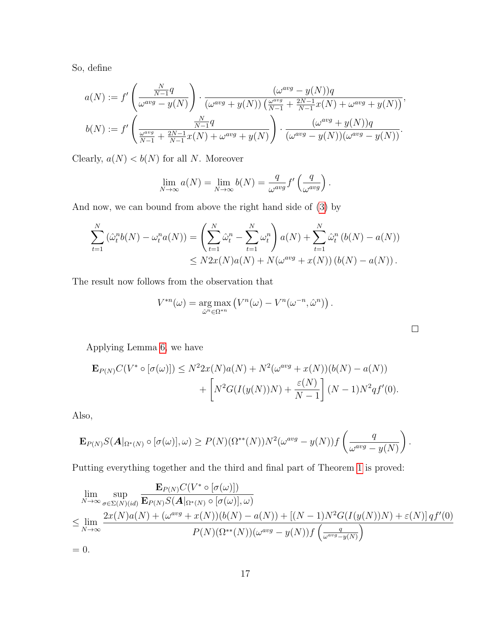So, define

$$
a(N) := f' \left( \frac{\frac{N}{N-1}q}{\omega^{avg} - y(N)} \right) \cdot \frac{(\omega^{avg} - y(N))q}{(\omega^{avg} + y(N)) \left( \frac{\omega^{avg}}{N-1} + \frac{2N-1}{N-1} x(N) + \omega^{avg} + y(N) \right)},
$$
  

$$
b(N) := f' \left( \frac{\frac{N}{N-1}q}{\frac{\omega^{avg}}{N-1} + \frac{2N-1}{N-1} x(N) + \omega^{avg} + y(N)} \right) \cdot \frac{(\omega^{avg} + y(N))q}{(\omega^{avg} - y(N))(\omega^{avg} - y(N))}.
$$

Clearly,  $a(N) < b(N)$  for all N. Moreover

$$
\lim_{N \to \infty} a(N) = \lim_{N \to \infty} b(N) = \frac{q}{\omega^{avg}} f' \left( \frac{q}{\omega^{avg}} \right).
$$

And now, we can bound from above the right hand side of [\(3\)](#page-16-0) by

$$
\sum_{t=1}^{N} (\hat{\omega}_{t}^{n} b(N) - \omega_{t}^{n} a(N)) = \left( \sum_{t=1}^{N} \hat{\omega}_{t}^{n} - \sum_{t=1}^{N} \omega_{t}^{n} \right) a(N) + \sum_{t=1}^{N} \hat{\omega}_{t}^{n} (b(N) - a(N))
$$
  

$$
\leq N2x(N)a(N) + N(\omega^{avg} + x(N)) (b(N) - a(N)).
$$

The result now follows from the observation that

$$
V^{*n}(\omega) = \underset{\hat{\omega}^n \in \Omega^{*n}}{\arg \max} \left( V^n(\omega) - V^n(\omega^{-n}, \hat{\omega}^n) \right).
$$

 $\hfill \square$ 

Applying Lemma [6,](#page-16-1) we have

$$
\mathbf{E}_{P(N)}C(V^* \circ [\sigma(\omega)]) \leq N^2 2x(N)a(N) + N^2(\omega^{avg} + x(N))(b(N) - a(N)) + \left[N^2 G(I(y(N))N) + \frac{\varepsilon(N)}{N-1}\right](N-1)N^2qf'(0).
$$

Also,

$$
\mathbf{E}_{P(N)}S(\mathbf{A}|_{\Omega^*(N)}\circ[\sigma(\omega)],\omega)\geq P(N)(\Omega^{**}(N))N^2(\omega^{avg}-y(N))f\left(\frac{q}{\omega^{avg}-y(N)}\right).
$$

Putting everything together and the third and final part of Theorem [1](#page-10-0) is proved:

$$
\lim_{N \to \infty} \sup_{\sigma \in \Sigma(N)(id)} \frac{\mathbf{E}_{P(N)} C(V^* \circ [\sigma(\omega)])}{\mathbf{E}_{P(N)} S(A_{\alpha^*(N)} \circ [\sigma(\omega)], \omega)}
$$
\n
$$
\leq \lim_{N \to \infty} \frac{2x(N)a(N) + (\omega^{avg} + x(N))(b(N) - a(N)) + [(N-1)N^2 G(I(y(N))N) + \varepsilon(N)] qf'(0)}{P(N)(\Omega^{**}(N))(\omega^{avg} - y(N))f\left(\frac{q}{\omega^{avg} - y(N)}\right)}
$$
\n= 0.